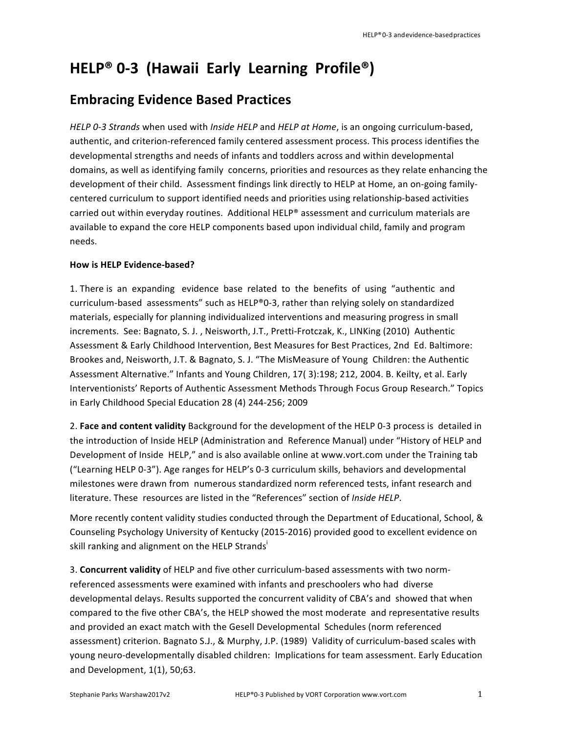## **HELP® 0-3 (Hawaii Early Learning Profile®)**

## **Embracing Evidence Based Practices**

*HELP 0-3 Strands* when used with *Inside HELP* and *HELP at Home*, is an ongoing curriculum-based, authentic, and criterion-referenced family centered assessment process. This process identifies the developmental strengths and needs of infants and toddlers across and within developmental domains, as well as identifying family concerns, priorities and resources as they relate enhancing the development of their child. Assessment findings link directly to HELP at Home, an on-going familycentered curriculum to support identified needs and priorities using relationship-based activities carried out within everyday routines. Additional HELP® assessment and curriculum materials are available to expand the core HELP components based upon individual child, family and program needs.

## **How is HELP Evidence-based?**

1. There is an expanding evidence base related to the benefits of using "authentic and curriculum-based assessments" such as HELP®0-3, rather than relying solely on standardized materials, especially for planning individualized interventions and measuring progress in small increments. See: Bagnato, S. J., Neisworth, J.T., Pretti-Frotczak, K., LINKing (2010) Authentic Assessment & Early Childhood Intervention, Best Measures for Best Practices, 2nd Ed. Baltimore: Brookes and, Neisworth, J.T. & Bagnato, S. J. "The MisMeasure of Young Children: the Authentic Assessment Alternative." Infants and Young Children, 17(3):198; 212, 2004. B. Keilty, et al. Early Interventionists' Reports of Authentic Assessment Methods Through Focus Group Research." Topics in Early Childhood Special Education 28 (4) 244-256; 2009

2. Face and content validity Background for the development of the HELP 0-3 process is detailed in the introduction of Inside HELP (Administration and Reference Manual) under "History of HELP and Development of Inside HELP," and is also available online at www.vort.com under the Training tab ("Learning HELP 0-3"). Age ranges for HELP's 0-3 curriculum skills, behaviors and developmental milestones were drawn from numerous standardized norm referenced tests, infant research and literature. These resources are listed in the "References" section of *Inside HELP*. 

More recently content validity studies conducted through the Department of Educational, School, & Counseling Psychology University of Kentucky (2015-2016) provided good to excellent evidence on skill ranking and alignment on the HELP Strands'

3. **Concurrent validity** of HELP and five other curriculum-based assessments with two normreferenced assessments were examined with infants and preschoolers who had diverse developmental delays. Results supported the concurrent validity of CBA's and showed that when compared to the five other CBA's, the HELP showed the most moderate and representative results and provided an exact match with the Gesell Developmental Schedules (norm referenced assessment) criterion. Bagnato S.J., & Murphy, J.P. (1989) Validity of curriculum-based scales with young neuro-developmentally disabled children: Implications for team assessment. Early Education and Development, 1(1), 50;63.